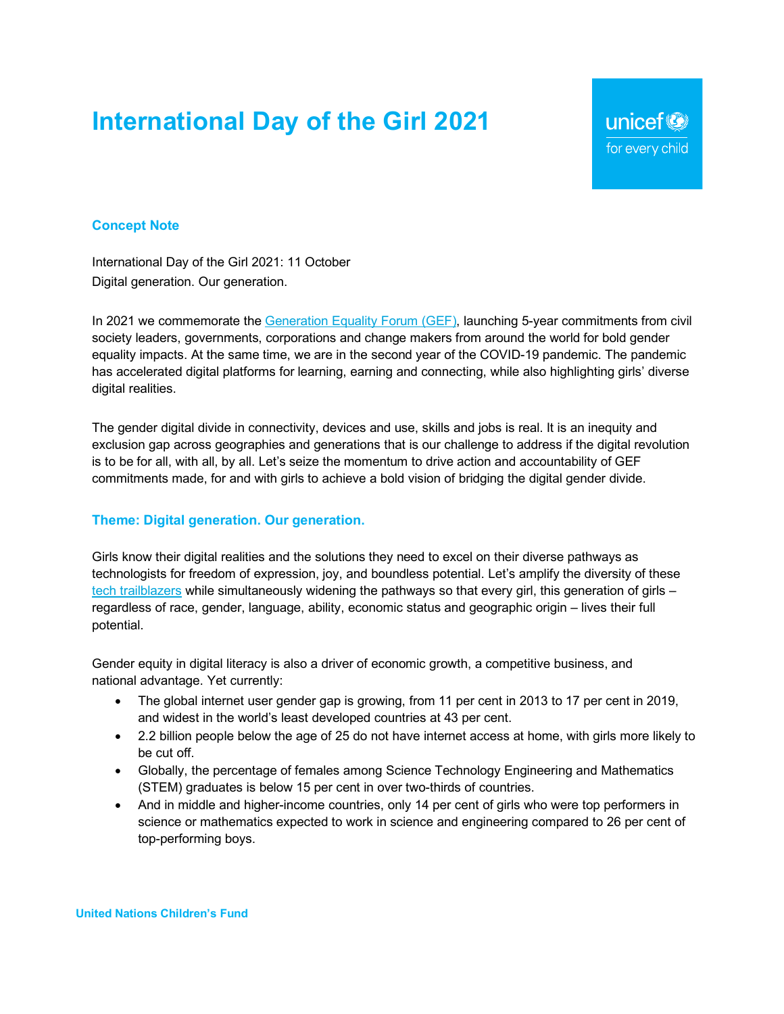# **International Day of the Girl 2021**

unicef<sup>®</sup> for every child

### **Concept Note**

International Day of the Girl 2021: 11 October Digital generation. Our generation.

In 2021 we commemorate the Generation Equality Forum (GEF), launching 5-year commitments from civil society leaders, governments, corporations and change makers from around the world for bold gender equality impacts. At the same time, we are in the second year of the COVID-19 pandemic. The pandemic has accelerated digital platforms for learning, earning and connecting, while also highlighting girls' diverse digital realities.

The gender digital divide in connectivity, devices and use, skills and jobs is real. It is an inequity and exclusion gap across geographies and generations that is our challenge to address if the digital revolution is to be for all, with all, by all. Let's seize the momentum to drive action and accountability of GEF commitments made, for and with girls to achieve a bold vision of bridging the digital gender divide.

#### **Theme: Digital generation. Our generation.**

Girls know their digital realities and the solutions they need to excel on their diverse pathways as technologists for freedom of expression, joy, and boundless potential. Let's amplify the diversity of these tech trailblazers while simultaneously widening the pathways so that every girl, this generation of girls – regardless of race, gender, language, ability, economic status and geographic origin – lives their full potential.

Gender equity in digital literacy is also a driver of economic growth, a competitive business, and national advantage. Yet currently:

- The global internet user gender gap is growing, from 11 per cent in 2013 to 17 per cent in 2019, and widest in the world's least developed countries at 43 per cent.
- 2.2 billion people below the age of 25 do not have internet access at home, with girls more likely to be cut off.
- Globally, the percentage of females among Science Technology Engineering and Mathematics (STEM) graduates is below 15 per cent in over two-thirds of countries.
- And in middle and higher-income countries, only 14 per cent of girls who were top performers in science or mathematics expected to work in science and engineering compared to 26 per cent of top-performing boys.